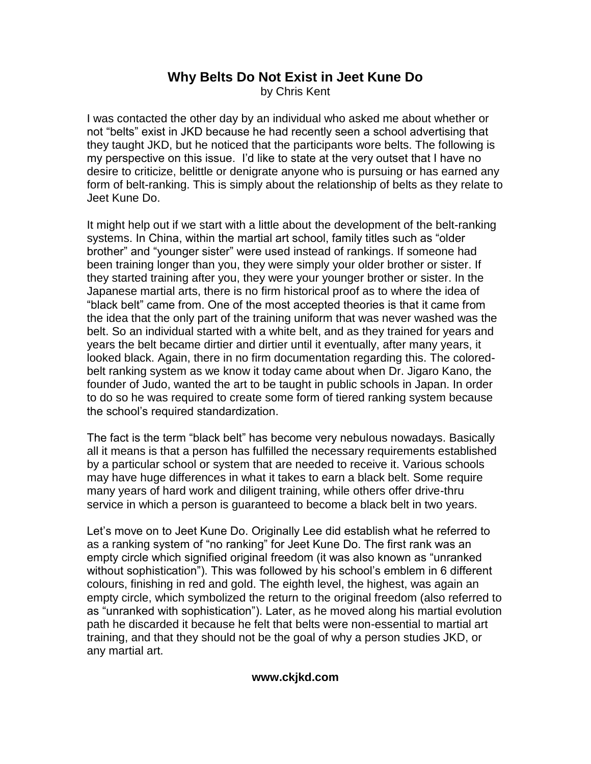## **Why Belts Do Not Exist in Jeet Kune Do** by Chris Kent

I was contacted the other day by an individual who asked me about whether or not "belts" exist in JKD because he had recently seen a school advertising that they taught JKD, but he noticed that the participants wore belts. The following is my perspective on this issue. I'd like to state at the very outset that I have no desire to criticize, belittle or denigrate anyone who is pursuing or has earned any form of belt-ranking. This is simply about the relationship of belts as they relate to Jeet Kune Do.

It might help out if we start with a little about the development of the belt-ranking systems. In China, within the martial art school, family titles such as "older brother" and "younger sister" were used instead of rankings. If someone had been training longer than you, they were simply your older brother or sister. If they started training after you, they were your younger brother or sister. In the Japanese martial arts, there is no firm historical proof as to where the idea of "black belt" came from. One of the most accepted theories is that it came from the idea that the only part of the training uniform that was never washed was the belt. So an individual started with a white belt, and as they trained for years and years the belt became dirtier and dirtier until it eventually, after many years, it looked black. Again, there in no firm documentation regarding this. The coloredbelt ranking system as we know it today came about when Dr. Jigaro Kano, the founder of Judo, wanted the art to be taught in public schools in Japan. In order to do so he was required to create some form of tiered ranking system because the school's required standardization.

The fact is the term "black belt" has become very nebulous nowadays. Basically all it means is that a person has fulfilled the necessary requirements established by a particular school or system that are needed to receive it. Various schools may have huge differences in what it takes to earn a black belt. Some require many years of hard work and diligent training, while others offer drive-thru service in which a person is guaranteed to become a black belt in two years.

Let's move on to Jeet Kune Do. Originally Lee did establish what he referred to as a ranking system of "no ranking" for Jeet Kune Do. The first rank was an empty circle which signified original freedom (it was also known as "unranked without sophistication"). This was followed by his school's emblem in 6 different colours, finishing in red and gold. The eighth level, the highest, was again an empty circle, which symbolized the return to the original freedom (also referred to as "unranked with sophistication"). Later, as he moved along his martial evolution path he discarded it because he felt that belts were non-essential to martial art training, and that they should not be the goal of why a person studies JKD, or any martial art.

## **www.ckjkd.com**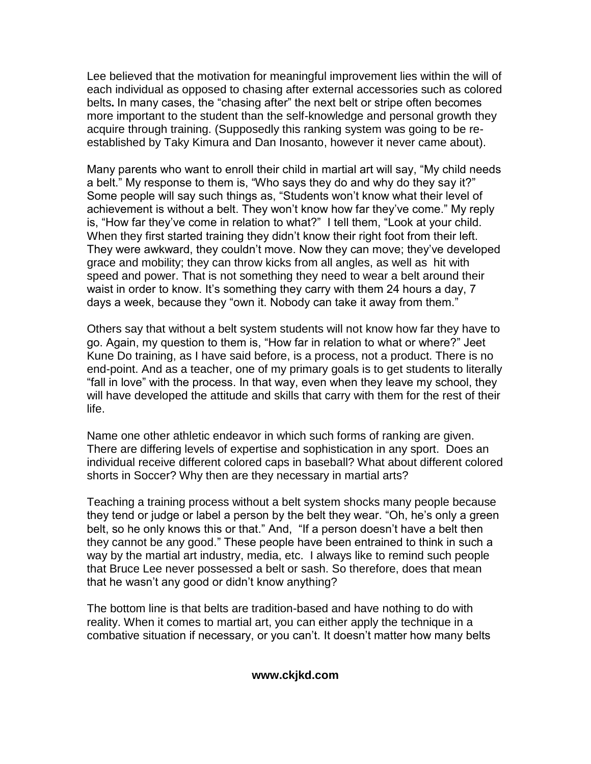Lee believed that the motivation for meaningful improvement lies within the will of each individual as opposed to chasing after external accessories such as colored belts**.** In many cases, the "chasing after" the next belt or stripe often becomes more important to the student than the self-knowledge and personal growth they acquire through training. (Supposedly this ranking system was going to be reestablished by Taky Kimura and Dan Inosanto, however it never came about).

Many parents who want to enroll their child in martial art will say, "My child needs a belt." My response to them is, "Who says they do and why do they say it?" Some people will say such things as, "Students won't know what their level of achievement is without a belt. They won't know how far they've come." My reply is, "How far they've come in relation to what?" I tell them, "Look at your child. When they first started training they didn't know their right foot from their left. They were awkward, they couldn't move. Now they can move; they've developed grace and mobility; they can throw kicks from all angles, as well as hit with speed and power. That is not something they need to wear a belt around their waist in order to know. It's something they carry with them 24 hours a day, 7 days a week, because they "own it. Nobody can take it away from them."

Others say that without a belt system students will not know how far they have to go. Again, my question to them is, "How far in relation to what or where?" Jeet Kune Do training, as I have said before, is a process, not a product. There is no end-point. And as a teacher, one of my primary goals is to get students to literally "fall in love" with the process. In that way, even when they leave my school, they will have developed the attitude and skills that carry with them for the rest of their life.

Name one other athletic endeavor in which such forms of ranking are given. There are differing levels of expertise and sophistication in any sport. Does an individual receive different colored caps in baseball? What about different colored shorts in Soccer? Why then are they necessary in martial arts?

Teaching a training process without a belt system shocks many people because they tend or judge or label a person by the belt they wear. "Oh, he's only a green belt, so he only knows this or that." And, "If a person doesn't have a belt then they cannot be any good." These people have been entrained to think in such a way by the martial art industry, media, etc. I always like to remind such people that Bruce Lee never possessed a belt or sash. So therefore, does that mean that he wasn't any good or didn't know anything?

The bottom line is that belts are tradition-based and have nothing to do with reality. When it comes to martial art, you can either apply the technique in a combative situation if necessary, or you can't. It doesn't matter how many belts

## **www.ckjkd.com**